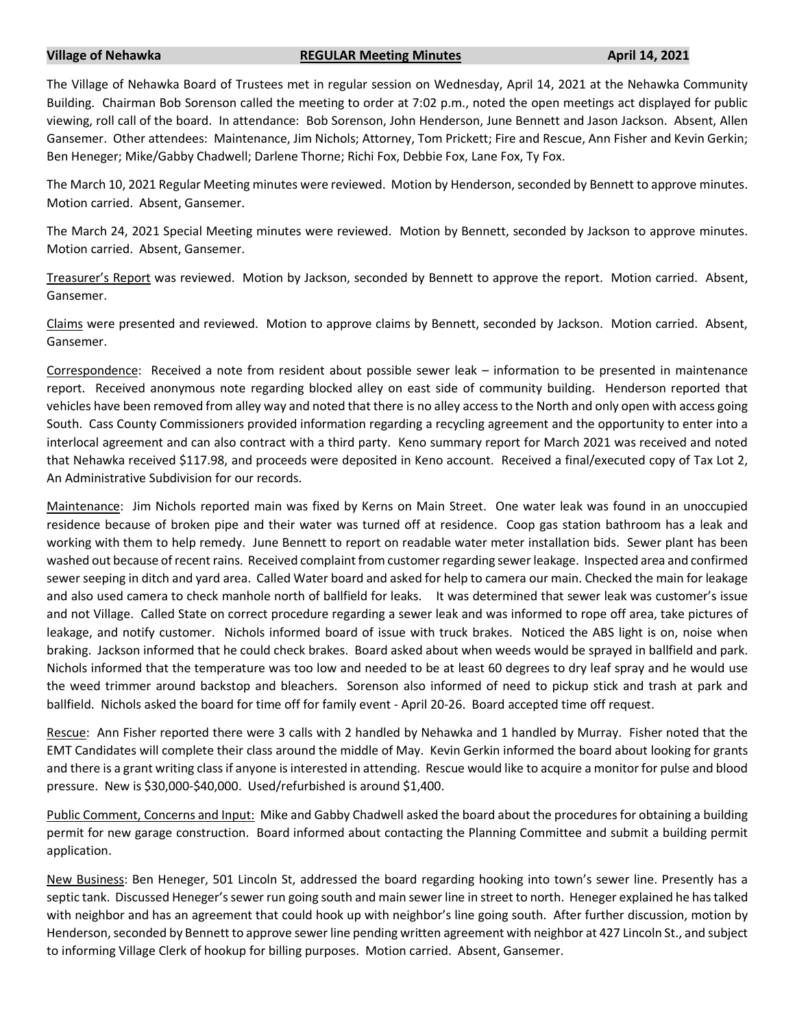## **Village of Nehawka REGULAR Meeting Minutes April 14, 2021**

The Village of Nehawka Board of Trustees met in regular session on Wednesday, April 14, 2021 at the Nehawka Community Building. Chairman Bob Sorenson called the meeting to order at 7:02 p.m., noted the open meetings act displayed for public viewing, roll call of the board. In attendance: Bob Sorenson, John Henderson, June Bennett and Jason Jackson. Absent, Allen Gansemer. Other attendees: Maintenance, Jim Nichols; Attorney, Tom Prickett; Fire and Rescue, Ann Fisher and Kevin Gerkin; Ben Heneger; Mike/Gabby Chadwell; Darlene Thorne; Richi Fox, Debbie Fox, Lane Fox, Ty Fox.

The March 10, 2021 Regular Meeting minutes were reviewed. Motion by Henderson, seconded by Bennett to approve minutes. Motion carried. Absent, Gansemer.

The March 24, 2021 Special Meeting minutes were reviewed. Motion by Bennett, seconded by Jackson to approve minutes. Motion carried. Absent, Gansemer.

Treasurer's Report was reviewed. Motion by Jackson, seconded by Bennett to approve the report. Motion carried. Absent, Gansemer.

Claims were presented and reviewed. Motion to approve claims by Bennett, seconded by Jackson. Motion carried. Absent, Gansemer.

Correspondence: Received a note from resident about possible sewer leak – information to be presented in maintenance report. Received anonymous note regarding blocked alley on east side of community building. Henderson reported that vehicles have been removed from alley way and noted that there is no alley access to the North and only open with access going South. Cass County Commissioners provided information regarding a recycling agreement and the opportunity to enter into a interlocal agreement and can also contract with a third party. Keno summary report for March 2021 was received and noted that Nehawka received \$117.98, and proceeds were deposited in Keno account. Received a final/executed copy of Tax Lot 2, An Administrative Subdivision for our records.

Maintenance: Jim Nichols reported main was fixed by Kerns on Main Street. One water leak was found in an unoccupied residence because of broken pipe and their water was turned off at residence. Coop gas station bathroom has a leak and working with them to help remedy. June Bennett to report on readable water meter installation bids. Sewer plant has been washed out because of recent rains. Received complaint from customer regarding sewer leakage. Inspected area and confirmed sewer seeping in ditch and yard area. Called Water board and asked for help to camera our main. Checked the main for leakage and also used camera to check manhole north of ballfield for leaks. It was determined that sewer leak was customer's issue and not Village. Called State on correct procedure regarding a sewer leak and was informed to rope off area, take pictures of leakage, and notify customer. Nichols informed board of issue with truck brakes. Noticed the ABS light is on, noise when braking. Jackson informed that he could check brakes. Board asked about when weeds would be sprayed in ballfield and park. Nichols informed that the temperature was too low and needed to be at least 60 degrees to dry leaf spray and he would use the weed trimmer around backstop and bleachers. Sorenson also informed of need to pickup stick and trash at park and ballfield. Nichols asked the board for time off for family event - April 20-26. Board accepted time off request.

Rescue: Ann Fisher reported there were 3 calls with 2 handled by Nehawka and 1 handled by Murray. Fisher noted that the EMT Candidates will complete their class around the middle of May. Kevin Gerkin informed the board about looking for grants and there is a grant writing class if anyone is interested in attending. Rescue would like to acquire a monitor for pulse and blood pressure. New is \$30,000-\$40,000. Used/refurbished is around \$1,400.

Public Comment, Concerns and Input: Mike and Gabby Chadwell asked the board about the procedures for obtaining a building permit for new garage construction. Board informed about contacting the Planning Committee and submit a building permit application.

New Business: Ben Heneger, 501 Lincoln St, addressed the board regarding hooking into town's sewer line. Presently has a septic tank. Discussed Heneger's sewer run going south and main sewer line in street to north. Heneger explained he has talked with neighbor and has an agreement that could hook up with neighbor's line going south. After further discussion, motion by Henderson, seconded by Bennett to approve sewer line pending written agreement with neighbor at 427 Lincoln St., and subject to informing Village Clerk of hookup for billing purposes. Motion carried. Absent, Gansemer.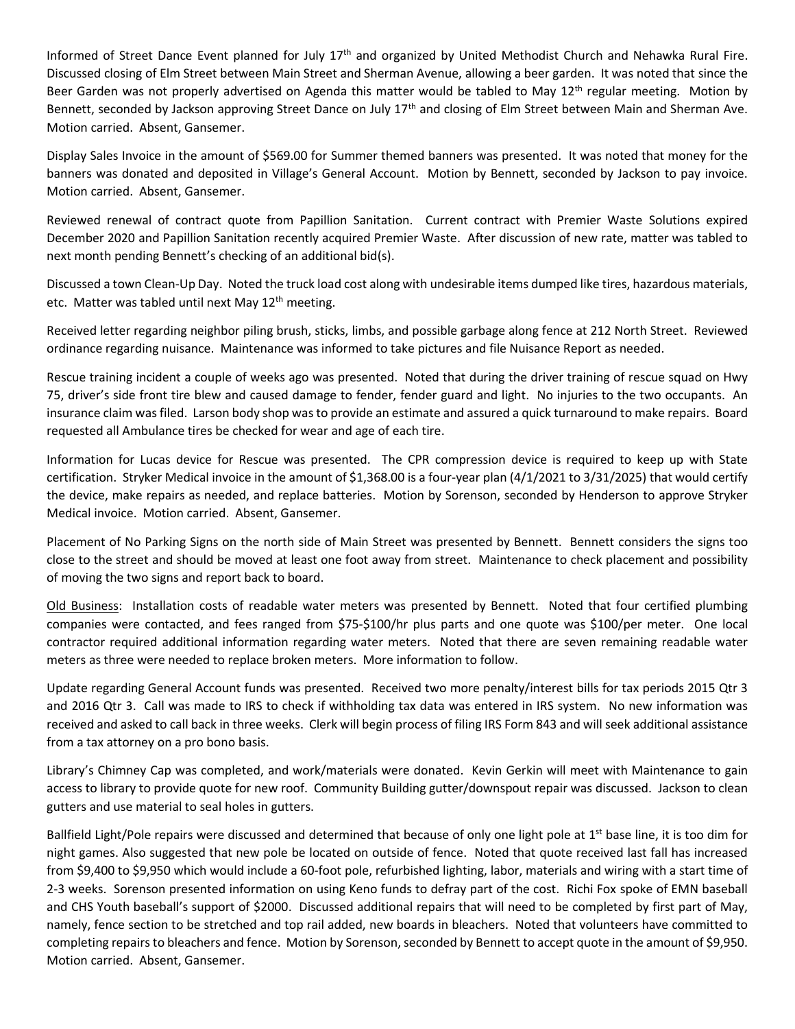Informed of Street Dance Event planned for July 17<sup>th</sup> and organized by United Methodist Church and Nehawka Rural Fire. Discussed closing of Elm Street between Main Street and Sherman Avenue, allowing a beer garden. It was noted that since the Beer Garden was not properly advertised on Agenda this matter would be tabled to May 12<sup>th</sup> regular meeting. Motion by Bennett, seconded by Jackson approving Street Dance on July 17<sup>th</sup> and closing of Elm Street between Main and Sherman Ave. Motion carried. Absent, Gansemer.

Display Sales Invoice in the amount of \$569.00 for Summer themed banners was presented. It was noted that money for the banners was donated and deposited in Village's General Account. Motion by Bennett, seconded by Jackson to pay invoice. Motion carried. Absent, Gansemer.

Reviewed renewal of contract quote from Papillion Sanitation. Current contract with Premier Waste Solutions expired December 2020 and Papillion Sanitation recently acquired Premier Waste. After discussion of new rate, matter was tabled to next month pending Bennett's checking of an additional bid(s).

Discussed a town Clean-Up Day. Noted the truck load cost along with undesirable items dumped like tires, hazardous materials, etc. Matter was tabled until next May 12<sup>th</sup> meeting.

Received letter regarding neighbor piling brush, sticks, limbs, and possible garbage along fence at 212 North Street. Reviewed ordinance regarding nuisance. Maintenance was informed to take pictures and file Nuisance Report as needed.

Rescue training incident a couple of weeks ago was presented. Noted that during the driver training of rescue squad on Hwy 75, driver's side front tire blew and caused damage to fender, fender guard and light. No injuries to the two occupants. An insurance claim was filed. Larson body shop was to provide an estimate and assured a quick turnaround to make repairs. Board requested all Ambulance tires be checked for wear and age of each tire.

Information for Lucas device for Rescue was presented. The CPR compression device is required to keep up with State certification. Stryker Medical invoice in the amount of \$1,368.00 is a four-year plan (4/1/2021 to 3/31/2025) that would certify the device, make repairs as needed, and replace batteries. Motion by Sorenson, seconded by Henderson to approve Stryker Medical invoice. Motion carried. Absent, Gansemer.

Placement of No Parking Signs on the north side of Main Street was presented by Bennett. Bennett considers the signs too close to the street and should be moved at least one foot away from street. Maintenance to check placement and possibility of moving the two signs and report back to board.

Old Business: Installation costs of readable water meters was presented by Bennett. Noted that four certified plumbing companies were contacted, and fees ranged from \$75-\$100/hr plus parts and one quote was \$100/per meter. One local contractor required additional information regarding water meters. Noted that there are seven remaining readable water meters as three were needed to replace broken meters. More information to follow.

Update regarding General Account funds was presented. Received two more penalty/interest bills for tax periods 2015 Qtr 3 and 2016 Qtr 3. Call was made to IRS to check if withholding tax data was entered in IRS system. No new information was received and asked to call back in three weeks. Clerk will begin process of filing IRS Form 843 and will seek additional assistance from a tax attorney on a pro bono basis.

Library's Chimney Cap was completed, and work/materials were donated. Kevin Gerkin will meet with Maintenance to gain access to library to provide quote for new roof. Community Building gutter/downspout repair was discussed. Jackson to clean gutters and use material to seal holes in gutters.

Ballfield Light/Pole repairs were discussed and determined that because of only one light pole at  $1<sup>st</sup>$  base line, it is too dim for night games. Also suggested that new pole be located on outside of fence. Noted that quote received last fall has increased from \$9,400 to \$9,950 which would include a 60-foot pole, refurbished lighting, labor, materials and wiring with a start time of 2-3 weeks. Sorenson presented information on using Keno funds to defray part of the cost. Richi Fox spoke of EMN baseball and CHS Youth baseball's support of \$2000. Discussed additional repairs that will need to be completed by first part of May, namely, fence section to be stretched and top rail added, new boards in bleachers. Noted that volunteers have committed to completing repairs to bleachers and fence. Motion by Sorenson, seconded by Bennett to accept quote in the amount of \$9,950. Motion carried. Absent, Gansemer.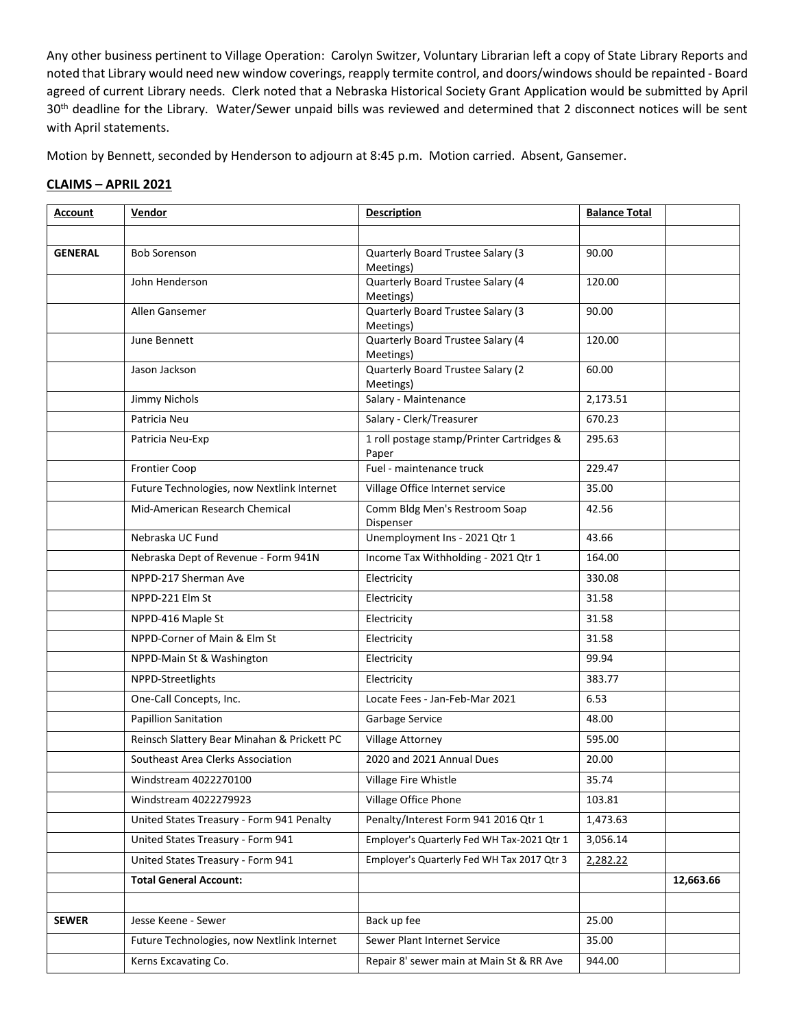Any other business pertinent to Village Operation: Carolyn Switzer, Voluntary Librarian left a copy of State Library Reports and noted that Library would need new window coverings, reapply termite control, and doors/windows should be repainted - Board agreed of current Library needs. Clerk noted that a Nebraska Historical Society Grant Application would be submitted by April 30<sup>th</sup> deadline for the Library. Water/Sewer unpaid bills was reviewed and determined that 2 disconnect notices will be sent with April statements.

Motion by Bennett, seconded by Henderson to adjourn at 8:45 p.m. Motion carried. Absent, Gansemer.

## **CLAIMS – APRIL 2021**

| <b>Account</b> | Vendor                                      | <b>Description</b>                                 | <b>Balance Total</b> |           |
|----------------|---------------------------------------------|----------------------------------------------------|----------------------|-----------|
|                |                                             |                                                    |                      |           |
| <b>GENERAL</b> | <b>Bob Sorenson</b>                         | Quarterly Board Trustee Salary (3<br>Meetings)     | 90.00                |           |
|                | John Henderson                              | Quarterly Board Trustee Salary (4<br>Meetings)     | 120.00               |           |
|                | Allen Gansemer                              | Quarterly Board Trustee Salary (3<br>Meetings)     | 90.00                |           |
|                | June Bennett                                | Quarterly Board Trustee Salary (4<br>Meetings)     | 120.00               |           |
|                | Jason Jackson                               | Quarterly Board Trustee Salary (2<br>Meetings)     | 60.00                |           |
|                | Jimmy Nichols                               | Salary - Maintenance                               | 2,173.51             |           |
|                | Patricia Neu                                | Salary - Clerk/Treasurer                           | 670.23               |           |
|                | Patricia Neu-Exp                            | 1 roll postage stamp/Printer Cartridges &<br>Paper | 295.63               |           |
|                | <b>Frontier Coop</b>                        | Fuel - maintenance truck                           | 229.47               |           |
|                | Future Technologies, now Nextlink Internet  | Village Office Internet service                    | 35.00                |           |
|                | Mid-American Research Chemical              | Comm Bldg Men's Restroom Soap<br>Dispenser         | 42.56                |           |
|                | Nebraska UC Fund                            | Unemployment Ins - 2021 Qtr 1                      | 43.66                |           |
|                | Nebraska Dept of Revenue - Form 941N        | Income Tax Withholding - 2021 Qtr 1                | 164.00               |           |
|                | NPPD-217 Sherman Ave                        | Electricity                                        | 330.08               |           |
|                | NPPD-221 Elm St                             | Electricity                                        | 31.58                |           |
|                | NPPD-416 Maple St                           | Electricity                                        | 31.58                |           |
|                | NPPD-Corner of Main & Elm St                | Electricity                                        | 31.58                |           |
|                | NPPD-Main St & Washington                   | Electricity                                        | 99.94                |           |
|                | NPPD-Streetlights                           | Electricity                                        | 383.77               |           |
|                | One-Call Concepts, Inc.                     | Locate Fees - Jan-Feb-Mar 2021                     | 6.53                 |           |
|                | <b>Papillion Sanitation</b>                 | Garbage Service                                    | 48.00                |           |
|                | Reinsch Slattery Bear Minahan & Prickett PC | Village Attorney                                   | 595.00               |           |
|                | Southeast Area Clerks Association           | 2020 and 2021 Annual Dues                          | 20.00                |           |
|                | Windstream 4022270100                       | Village Fire Whistle                               | 35.74                |           |
|                | Windstream 4022279923                       | Village Office Phone                               | 103.81               |           |
|                | United States Treasury - Form 941 Penalty   | Penalty/Interest Form 941 2016 Qtr 1               | 1,473.63             |           |
|                | United States Treasury - Form 941           | Employer's Quarterly Fed WH Tax-2021 Qtr 1         | 3,056.14             |           |
|                | United States Treasury - Form 941           | Employer's Quarterly Fed WH Tax 2017 Qtr 3         | 2,282.22             |           |
|                | <b>Total General Account:</b>               |                                                    |                      | 12,663.66 |
|                |                                             |                                                    |                      |           |
| <b>SEWER</b>   | Jesse Keene - Sewer                         | Back up fee                                        | 25.00                |           |
|                | Future Technologies, now Nextlink Internet  | Sewer Plant Internet Service                       | 35.00                |           |
|                | Kerns Excavating Co.                        | Repair 8' sewer main at Main St & RR Ave           | 944.00               |           |